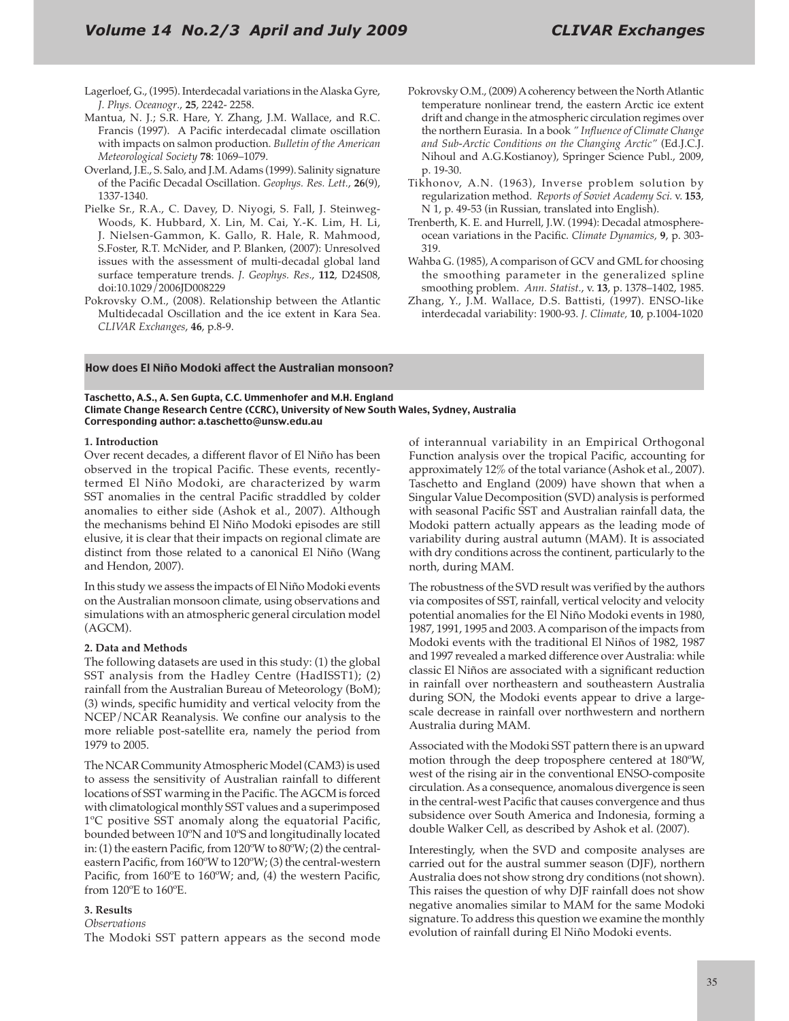- Lagerloef, G., (1995). Interdecadal variations in the Alaska Gyre, *J. Phys. Oceanogr.*, 25, 2242- 2258.
- Mantua, N. J.; S.R. Hare, Y. Zhang, J.M. Wallace, and R.C. Francis (1997). A Pacific interdecadal climate oscillation with impacts on salmon production. *Bulletin of the American Meteorological Society* 78: 1069-1079.
- Overland, J.E., S. Salo, and J.M. Adams (1999). Salinity signature of the Pacific Decadal Oscillation. Geophys. Res. Lett., 26(9), 1337-1340.
- Pielke Sr., R.A., C. Davey, D. Niyogi, S. Fall, J. Steinweg-Woods, K. Hubbard, X. Lin, M. Cai, Y.-K. Lim, H. Li, J. Nielsen-Gammon, K. Gallo, R. Hale, R. Mahmood, S.Foster, R.T. McNider, and P. Blanken, (2007): Unresolved issues with the assessment of multi-decadal global land surface temperature trends. *J. Geophys. Res.*, 112, D24S08, doi:10.1029/2006JD008229
- Pokrovsky O.M., (2008). Relationship between the Atlantic Multidecadal Oscillation and the ice extent in Kara Sea. *CLIVAR Exchanges*, **46**, p.8-9.
- Pokrovsky O.M., (2009) A coherency between the North Atlantic temperature nonlinear trend, the eastern Arctic ice extent drift and change in the atmospheric circulation regimes over the northern Eurasia. In a book " Influence of Climate Change *and Sub-Arctic Conditions on the Changing Arctic"* (Ed.J.C.J. Nihoul and A.G.Kostianoy), Springer Science Publ., 2009, p. 19-30.
- Tikhonov, A.N. (1963), Inverse problem solution by regularization method. Reports of Soviet Academy Sci. v. 153, N 1, p. 49-53 (in Russian, translated into English).
- Trenberth, K. E. and Hurrell, J.W. (1994): Decadal atmosphereocean variations in the Pacific. Climate Dynamics, 9, p. 303-319.
- Wahba G. (1985), A comparison of GCV and GML for choosing the smoothing parameter in the generalized spline smoothing problem. Ann. Statist., v. 13, p. 1378-1402, 1985.
- Zhang, Y., J.M. Wallace, D.S. Battisti, (1997). ENSO-like interdecadal variability: 1900-93. *J. Climate*, 10, p.1004-1020

# How does El Niño Modoki affect the Australian monsoon?

Taschetto, A.S., A. Sen Gupta, C.C. Ummenhofer and M.H. England Climate Change Research Centre (CCRC), University of New South Wales, Sydney, Australia Corresponding author: a.taschetto@unsw.edu.au

### **1.** Introduction

Over recent decades, a different flavor of El Niño has been observed in the tropical Pacific. These events, recentlytermed El Niño Modoki, are characterized by warm 667 SST anomalies in the central Pacific straddled by colder anomalies to either side (Ashok et al., 2007). Although the mechanisms behind El Niño Modoki episodes are still elusive, it is clear that their impacts on regional climate are distinct from those related to a canonical El Niño (Wang and Hendon, 2007).

In this study we assess the impacts of El Niño Modoki events on the Australian monsoon climate, using observations and simulations with an atmospheric general circulation model (AGCM).

#### **2. Data and Methods**

The following datasets are used in this study: (1) the global SST analysis from the Hadley Centre (HadISST1); (2) rainfall from the Australian Bureau of Meteorology (BoM);  $(3)$  winds, specific humidity and vertical velocity from the NCEP/NCAR Reanalysis. We confine our analysis to the more reliable post-satellite era, namely the period from 1979 to 2005.

The NCAR Community Atmospheric Model (CAM3) is used to assess the sensitivity of Australian rainfall to different locations of SST warming in the Pacific. The AGCM is forced with climatological monthly SST values and a superimposed 1°C positive SST anomaly along the equatorial Pacific, bounded between 10ºN and 10ºS and longitudinally located in: (1) the eastern Pacific, from  $120^{\circ}$ W to  $80^{\circ}$ W; (2) the centraleastern Pacific, from  $160^{\circ}$ W to  $120^{\circ}$ W; (3) the central-western Pacific, from 160°E to 160°W; and, (4) the western Pacific, from 120ºE to 160ºE.

## **3. Results**

### *<u>Observations</u>*

The Modoki SST pattern appears as the second mode

of interannual variability in an Empirical Orthogonal Function analysis over the tropical Pacific, accounting for approximately 12% of the total variance (Ashok et al., 2007). Taschetto and England (2009) have shown that when a Singular Value Decomposition (SVD) analysis is performed with seasonal Pacific SST and Australian rainfall data, the Modoki pattern actually appears as the leading mode of variability during austral autumn (MAM). It is associated with dry conditions across the continent, particularly to the north, during MAM.

The robustness of the SVD result was verified by the authors via composites of SST, rainfall, vertical velocity and velocity potential anomalies for the El Niño Modoki events in 1980, 1987, 1991, 1995 and 2003. A comparison of the impacts from Modoki events with the traditional El Niños of 1982, 1987 and 1997 revealed a marked difference over Australia: while classic El Niños are associated with a significant reduction in rainfall over northeastern and southeastern Australia during SON, the Modoki events appear to drive a largescale decrease in rainfall over northwestern and northern Australia during MAM.

Associated with the Modoki SST pattern there is an upward motion through the deep troposphere centered at 180ºW, west of the rising air in the conventional ENSO-composite circulation. As a consequence, anomalous divergence is seen in the central-west Pacific that causes convergence and thus subsidence over South America and Indonesia, forming a double Walker Cell, as described by Ashok et al. (2007).

Interestingly, when the SVD and composite analyses are carried out for the austral summer season (DJF), northern Australia does not show strong dry conditions (not shown). This raises the question of why DJF rainfall does not show negative anomalies similar to MAM for the same Modoki signature. To address this question we examine the monthly evolution of rainfall during El Niño Modoki events.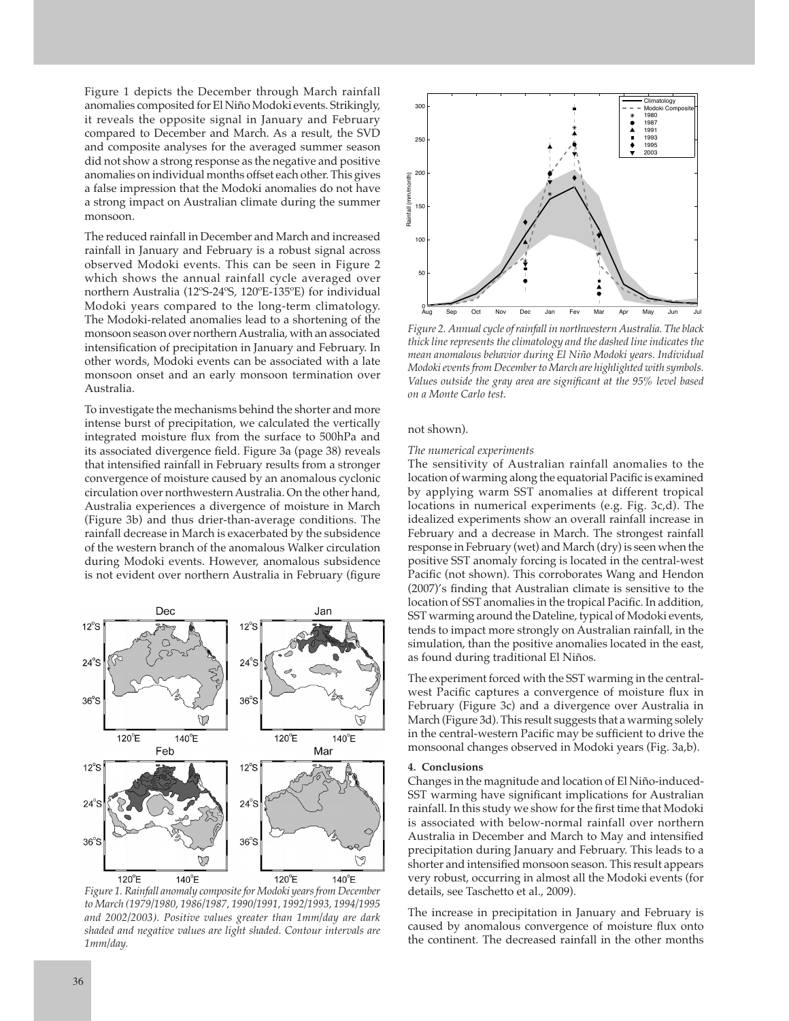Figure 1 depicts the December through March rainfall anomalies composited for El Niño Modoki events. Strikingly, it reveals the opposite signal in January and February compared to December and March. As a result, the SVD and composite analyses for the averaged summer season did not show a strong response as the negative and positive anomalies on individual months offset each other. This gives a false impression that the Modoki anomalies do not have a strong impact on Australian climate during the summer monsoon.

The reduced rainfall in December and March and increased rainfall in January and February is a robust signal across observed Modoki events. This can be seen in Figure 2 which shows the annual rainfall cycle averaged over northern Australia (12ºS-24ºS, 120ºE-135ºE) for individual Modoki years compared to the long-term climatology. The Modoki-related anomalies lead to a shortening of the monsoon season over northern Australia, with an associated intensification of precipitation in January and February. In other words, Modoki events can be associated with a late monsoon onset and an early monsoon termination over Australia.

To investigate the mechanisms behind the shorter and more intense burst of precipitation, we calculated the vertically integrated moisture flux from the surface to 500hPa and its associated divergence field. Figure 3a (page 38) reveals that intensified rainfall in February results from a stronger convergence of moisture caused by an anomalous cyclonic circulation over northwestern Australia. On the other hand, Australia experiences a divergence of moisture in March (Figure 3b) and thus drier-than-average conditions. The rainfall decrease in March is exacerbated by the subsidence of the western branch of the anomalous Walker circulation during Modoki events. However, anomalous subsidence is not evident over northern Australia in February (figure



*Figure 1. Rainfall anomaly composite for Modoki years from December*  to March (1979/1980, 1986/1987, 1990/1991, 1992/1993, 1994/1995 and 2002/2003). Positive values greater than 1mm/day are dark *shaded and negative values are light shaded. Contour intervals are 1mm/day.*



*Figure 2. Annual cycle of rainfall in northwestern Australia. The black thick line represents the climatology and the dashed line indicates the*   $m$ ean anomalous behavior during El Niño Modoki years. Individual *Modoki events from December to March are highlighted with symbols. Values outside the gray area are significant at the 95% level based on a Monte Carlo test.* 

### not shown).

#### *The numerical experiments*

The sensitivity of Australian rainfall anomalies to the location of warming along the equatorial Pacific is examined by applying warm SST anomalies at different tropical locations in numerical experiments (e.g. Fig. 3c,d). The idealized experiments show an overall rainfall increase in February and a decrease in March. The strongest rainfall response in February (wet) and March (dry) is seen when the positive SST anomaly forcing is located in the central-west Pacific (not shown). This corroborates Wang and Hendon (2007)'s finding that Australian climate is sensitive to the location of SST anomalies in the tropical Pacific. In addition, SST warming around the Dateline, typical of Modoki events, tends to impact more strongly on Australian rainfall, in the simulation, than the positive anomalies located in the east, as found during traditional El Niños.

The experiment forced with the SST warming in the centralwest Pacific captures a convergence of moisture flux in February (Figure 3c) and a divergence over Australia in March (Figure 3d). This result suggests that a warming solely in the central-western Pacific may be sufficient to drive the monsoonal changes observed in Modoki years (Fig. 3a,b).

#### **4.** Conclusions

Changes in the magnitude and location of El Niño-induced-SST warming have significant implications for Australian rainfall. In this study we show for the first time that Modoki is associated with below-normal rainfall over northern Australia in December and March to May and intensified precipitation during January and February. This leads to a shorter and intensified monsoon season. This result appears very robust, occurring in almost all the Modoki events (for details, see Taschetto et al., 2009).

The increase in precipitation in January and February is caused by anomalous convergence of moisture flux onto the continent. The decreased rainfall in the other months